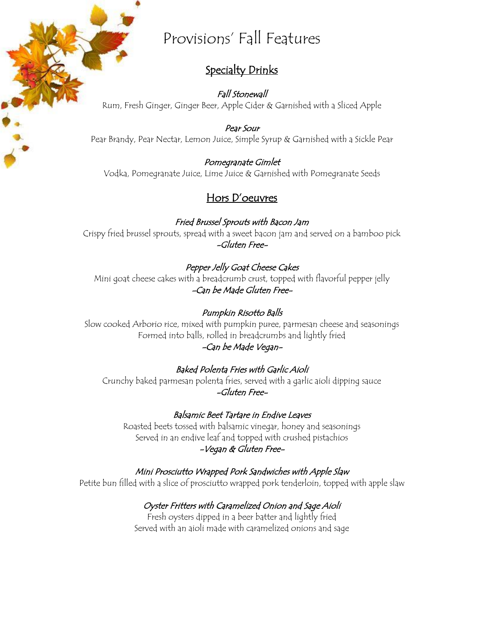# **Specialty Drinks**

Fall Stonewall Rum, Fresh Ginger, Ginger Beer, Apple Cider & Garnished with a Sliced Apple

Pear Sour [Pear Brandy, P](https://www.google.com/url?sa=i&rct=j&q=&esrc=s&source=images&cd=&cad=rja&uact=8&ved=2ahUKEwill_vhk97dAhXCVt8KHd21A6wQjRx6BAgBEAU&url=https%3A%2F%2Fdumielauxepices.net%2Fautumn-leaves-clipart%2Fautumn-leaves-clipart-corner-border&psig=AOvVaw3GNRFIrAq7KaKjW64yONFE&ust=1538239684837210)ear Nectar, Lemon Juice, Simple Syrup & Garnished with a Sickle Pear

Pomegranate Gimlet Vodka, Pomegranate Juice, Lime Juice & Garnished with Pomegranate Seeds

# Hors D'oeuvres

Fried Brussel Sprouts with Bacon Jam Crispy fried brussel sprouts, spread with a sweet bacon jam and served on a bamboo pick -Gluten Free-

Pepper Jelly Goat Cheese Cakes Mini goat cheese cakes with a breadcrumb crust, topped with flavorful pepper jelly -Can be Made Gluten Free-

Pumpkin Risotto Balls Slow cooked Arborio rice, mixed with pumpkin puree, parmesan cheese and seasonings Formed into balls, rolled in breadcrumbs and lightly fried -Can be Made Vegan-

Baked Polenta Fries with Garlic Aioli Crunchy baked parmesan polenta fries, served with a garlic aioli dipping sauce -Gluten Free-

Balsamic Beet Tartare in Endive Leaves Roasted beets tossed with balsamic vinegar, honey and seasonings Served in an endive leaf and topped with crushed pistachios -Vegan & Gluten Free-

Mini Prosciutto Wrapped Pork Sandwiches with Apple Slaw Petite bun filled with a slice of prosciutto wrapped pork tenderloin, topped with apple slaw

Oyster Fritters with Caramelized Onion and Sage Aioli

Fresh oysters dipped in a beer batter and lightly fried Served with an aioli made with caramelized onions and sage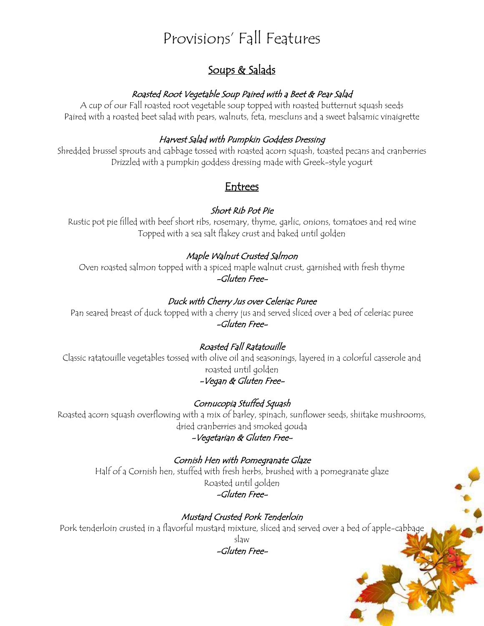# Soups & Salads

#### Roasted Root Vegetable Soup Paired with a Beet & Pear Salad

A cup of our Fall roasted root vegetable soup topped with roasted butternut squash seeds Paired with a roasted beet salad with pears, walnuts, feta, mescluns and a sweet balsamic vinaigrette

#### Harvest Salad with Pumpkin Goddess Dressing

Shredded brussel sprouts and cabbage tossed with roasted acorn squash, toasted pecans and cranberries Drizzled with a pumpkin goddess dressing made with Greek-style yogurt

# Entrees

# Short Rib Pot Pie

Rustic pot pie filled with beef short ribs, rosemary, thyme, garlic, onions, tomatoes and red wine Topped with a sea salt flakey crust and baked until golden

# Maple Walnut Crusted Salmon

Oven roasted salmon topped with a spiced maple walnut crust, garnished with fresh thyme -Gluten Free-

# Duck with Cherry Jus over Celeriac Puree

Pan seared breast of duck topped with a cherry jus and served sliced over a bed of celeriac puree -Gluten Free-

# Roasted Fall Ratatouille

Classic ratatouille vegetables tossed with olive oil and seasonings, layered in a colorful casserole and roasted until golden -Vegan & Gluten Free-

Cornucopia Stuffed Squash Roasted acorn squash overflowing with a mix of barley, spinach, sunflower seeds, shiitake mushrooms, dried cranberries and smoked gouda

# -Vegetarian & Gluten Free-

# Cornish Hen with Pomegranate Glaze

Half of a Cornish hen, stuffed with fresh herbs, brushed with a pomegranate glaze Roasted until golden -Gluten Free-

# Mustard Crusted Pork Tenderloin

Pork tenderloin crusted in a flavorful mustard mixture, sliced and served over [a bed of apple-cabbage](https://www.google.com/url?sa=i&rct=j&q=&esrc=s&source=images&cd=&cad=rja&uact=8&ved=2ahUKEwill_vhk97dAhXCVt8KHd21A6wQjRx6BAgBEAU&url=https%3A%2F%2Fdumielauxepices.net%2Fautumn-leaves-clipart%2Fautumn-leaves-clipart-corner-border&psig=AOvVaw3GNRFIrAq7KaKjW64yONFE&ust=1538239684837210) 

slaw -Gluten Free-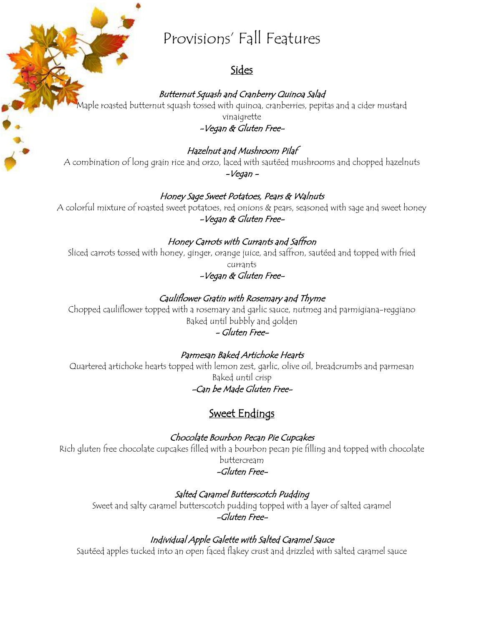# Sides

Butternut Squash and Cranberry Quinoa Salad

aple roasted butternut squash tossed with quinoa, cranberries, pepitas and a cider mustard vinaigrette

-Vegan & Gluten Free-

# Hazelnut and Mushroom Pilaf

[A combination of lon](https://www.google.com/url?sa=i&rct=j&q=&esrc=s&source=images&cd=&cad=rja&uact=8&ved=2ahUKEwill_vhk97dAhXCVt8KHd21A6wQjRx6BAgBEAU&url=https%3A%2F%2Fdumielauxepices.net%2Fautumn-leaves-clipart%2Fautumn-leaves-clipart-corner-border&psig=AOvVaw3GNRFIrAq7KaKjW64yONFE&ust=1538239684837210)g grain rice and orzo, laced with sautéed mushrooms and chopped hazelnuts -Vegan -

#### Honey Sage Sweet Potatoes, Pears & Walnuts

A colorful mixture of roasted sweet potatoes, red onions & pears, seasoned with sage and sweet honey -Vegan & Gluten Free-

# Honey Carrots with Currants and Saffron

Sliced carrots tossed with honey, ginger, orange juice, and saffron, sautéed and topped with fried currants

# -Vegan & Gluten Free-

#### Cauliflower Gratin with Rosemary and Thyme

Chopped cauliflower topped with a rosemary and garlic sauce, nutmeg and parmigiana-reggiano Baked until bubbly and golden

#### - Gluten Free-

#### Parmesan Baked Artichoke Hearts

Quartered artichoke hearts topped with lemon zest, garlic, olive oil, breadcrumbs and parmesan Baked until crisp -Can be Made Gluten Free-

# Sweet Endings

#### Chocolate Bourbon Pecan Pie Cupcakes

Rich gluten free chocolate cupcakes filled with a bourbon pecan pie filling and topped with chocolate buttercream -Gluten Free-

# Salted Caramel Butterscotch Pudding

Sweet and salty caramel butterscotch pudding topped with a layer of salted caramel -Gluten Free-

# Individual Apple Galette with Salted Caramel Sauce

Sautéed apples tucked into an open faced flakey crust and drizzled with salted caramel sauce